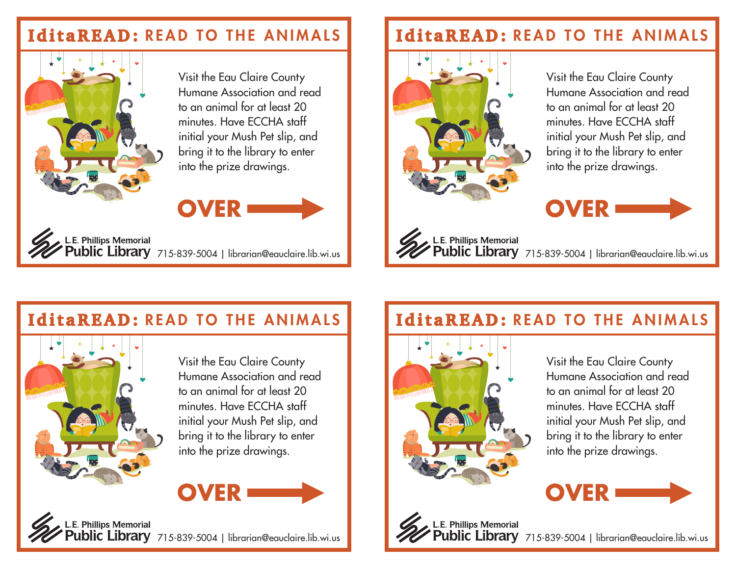#### **IditaREAD:** READ TO THE ANIMALS



Visit the Eau Claire County Humane Association and read to an animal for at least 20 minutes. Have ECCHA staff initial your Mush Pet slip, and bring it to the library to enter into the prize drawings.

# **OVER**

L.E. Phillips Memorial<br>**Public Library** 715-839-5004 | librarian@eauclaire.lib.wi.us

### **IditaREAD:** READ TO THE ANIMALS



Visit the Eau Claire County Humane Association and read to an animal for at least 20 minutes. Have ECCHA staff initial your Mush Pet slip, and bring it to the library to enter into the prize drawings.



L.E. Phillips Memorial<br>Public Library 715-839-5004 | librarian@eauclaire.lib.wi.us

### **IditaREAD:** READ TO THE ANIMALS



Visit the Eau Claire County Humane Association and read to an animal for at least 20 minutes. Have ECCHA staff initial your Mush Pet slip, and bring it to the library to enter into the prize drawings.



#### .E. Phillips Memorial **blic Library** 715-839-5004 | librarian@eauclaire.lib.wi.us

### **IditaREAD:** READ TO THE ANIMALS



L.E. Phillips Memorial

Visit the Eau Claire County Humane Association and read to an animal for at least 20 minutes. Have ECCHA staff initial your Mush Pet slip, and bring it to the library to enter into the prize drawings.



blic Library 715-839-5004 | librarian@eauclaire.lib.wi.us